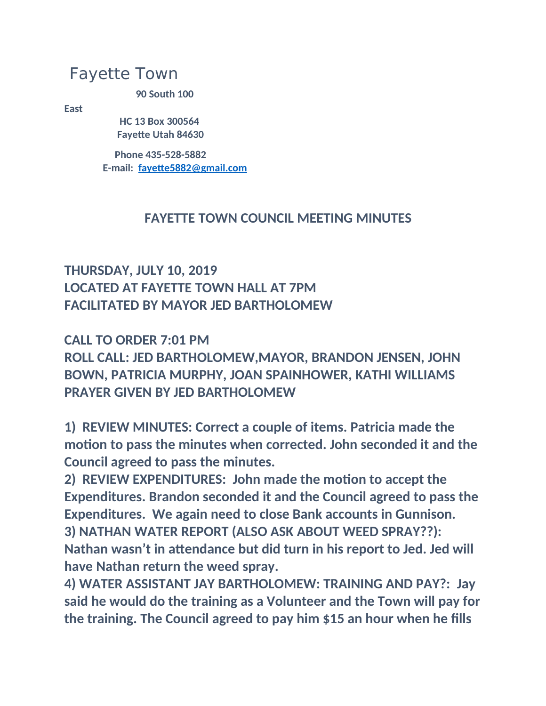# Fayette Town

**90 South 100** 

**East**

 **HC 13 Box 300564 Fayette Utah 84630**

 **Phone 435-528-5882 E-mail: [fayette5882@gmail.com](mailto:fayette5882@gmail.com)**

### **FAYETTE TOWN COUNCIL MEETING MINUTES**

## **THURSDAY, JULY 10, 2019 LOCATED AT FAYETTE TOWN HALL AT 7PM FACILITATED BY MAYOR JED BARTHOLOMEW**

**CALL TO ORDER 7:01 PM ROLL CALL: JED BARTHOLOMEW,MAYOR, BRANDON JENSEN, JOHN BOWN, PATRICIA MURPHY, JOAN SPAINHOWER, KATHI WILLIAMS PRAYER GIVEN BY JED BARTHOLOMEW**

**1) REVIEW MINUTES: Correct a couple of items. Patricia made the motion to pass the minutes when corrected. John seconded it and the Council agreed to pass the minutes.**

**2) REVIEW EXPENDITURES: John made the motion to accept the Expenditures. Brandon seconded it and the Council agreed to pass the Expenditures. We again need to close Bank accounts in Gunnison. 3) NATHAN WATER REPORT (ALSO ASK ABOUT WEED SPRAY??): Nathan wasn't in attendance but did turn in his report to Jed. Jed will have Nathan return the weed spray.**

**4) WATER ASSISTANT JAY BARTHOLOMEW: TRAINING AND PAY?: Jay said he would do the training as a Volunteer and the Town will pay for the training. The Council agreed to pay him \$15 an hour when he fills**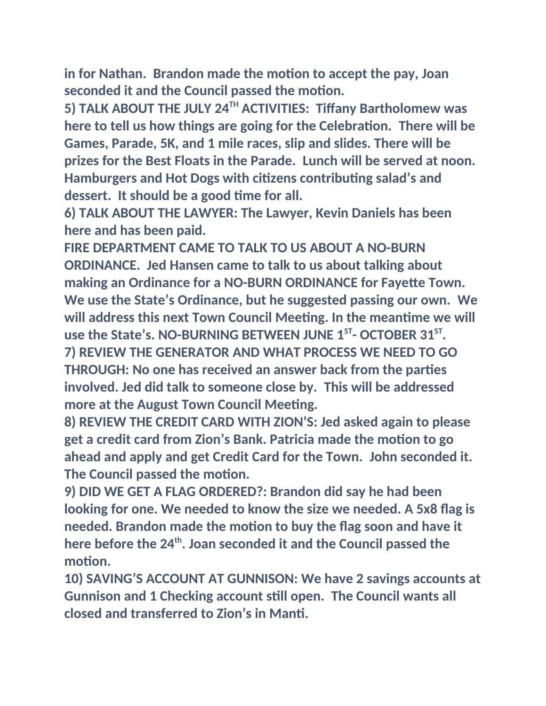**in for Nathan. Brandon made the motion to accept the pay, Joan seconded it and the Council passed the motion.**

**5) TALK ABOUT THE JULY 24TH ACTIVITIES: Tiffany Bartholomew was here to tell us how things are going for the Celebration. There will be Games, Parade, 5K, and 1 mile races, slip and slides. There will be prizes for the Best Floats in the Parade. Lunch will be served at noon. Hamburgers and Hot Dogs with citizens contributing salad's and dessert. It should be a good time for all.**

**6) TALK ABOUT THE LAWYER: The Lawyer, Kevin Daniels has been here and has been paid.**

**FIRE DEPARTMENT CAME TO TALK TO US ABOUT A NO-BURN ORDINANCE. Jed Hansen came to talk to us about talking about making an Ordinance for a NO-BURN ORDINANCE for Fayette Town. We use the State's Ordinance, but he suggested passing our own. We will address this next Town Council Meeting. In the meantime we will use the State's. NO-BURNING BETWEEN JUNE 1ST- OCTOBER 31ST . 7) REVIEW THE GENERATOR AND WHAT PROCESS WE NEED TO GO THROUGH: No one has received an answer back from the parties involved. Jed did talk to someone close by. This will be addressed more at the August Town Council Meeting.**

**8) REVIEW THE CREDIT CARD WITH ZION'S: Jed asked again to please get a credit card from Zion's Bank. Patricia made the motion to go ahead and apply and get Credit Card for the Town. John seconded it. The Council passed the motion.**

**9) DID WE GET A FLAG ORDERED?: Brandon did say he had been looking for one. We needed to know the size we needed. A 5x8 flag is needed. Brandon made the motion to buy the flag soon and have it here before the 24th. Joan seconded it and the Council passed the motion.**

**10) SAVING'S ACCOUNT AT GUNNISON: We have 2 savings accounts at Gunnison and 1 Checking account still open. The Council wants all closed and transferred to Zion's in Manti.**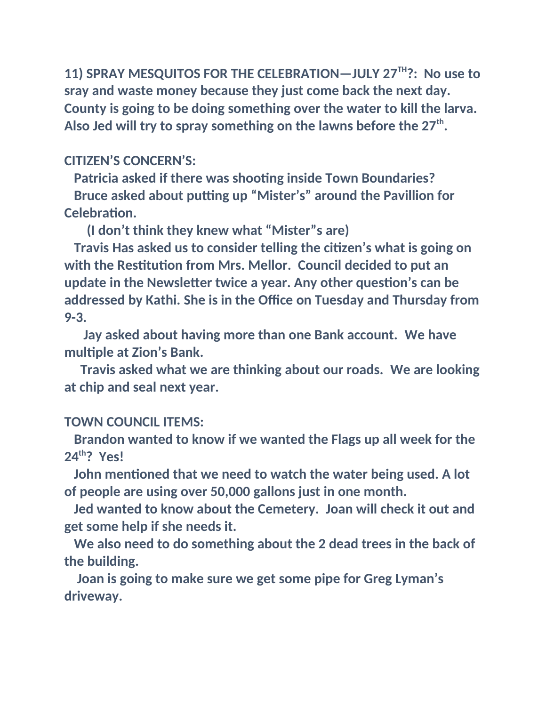**11) SPRAY MESQUITOS FOR THE CELEBRATION—JULY 27TH?: No use to sray and waste money because they just come back the next day. County is going to be doing something over the water to kill the larva. Also Jed will try to spray something on the lawns before the 27th .**

### **CITIZEN'S CONCERN'S:**

 **Patricia asked if there was shooting inside Town Boundaries?**

 **Bruce asked about putting up "Mister's" around the Pavillion for Celebration.**

 **(I don't think they knew what "Mister"s are)**

 **Travis Has asked us to consider telling the citizen's what is going on with the Restitution from Mrs. Mellor. Council decided to put an update in the Newsletter twice a year. Any other question's can be addressed by Kathi. She is in the Office on Tuesday and Thursday from 9-3.**

 **Jay asked about having more than one Bank account. We have multiple at Zion's Bank.**

 **Travis asked what we are thinking about our roads. We are looking at chip and seal next year.**

#### **TOWN COUNCIL ITEMS:**

 **Brandon wanted to know if we wanted the Flags up all week for the 24th? Yes!**

 **John mentioned that we need to watch the water being used. A lot of people are using over 50,000 gallons just in one month.**

 **Jed wanted to know about the Cemetery. Joan will check it out and get some help if she needs it.**

 **We also need to do something about the 2 dead trees in the back of the building.**

 **Joan is going to make sure we get some pipe for Greg Lyman's driveway.**